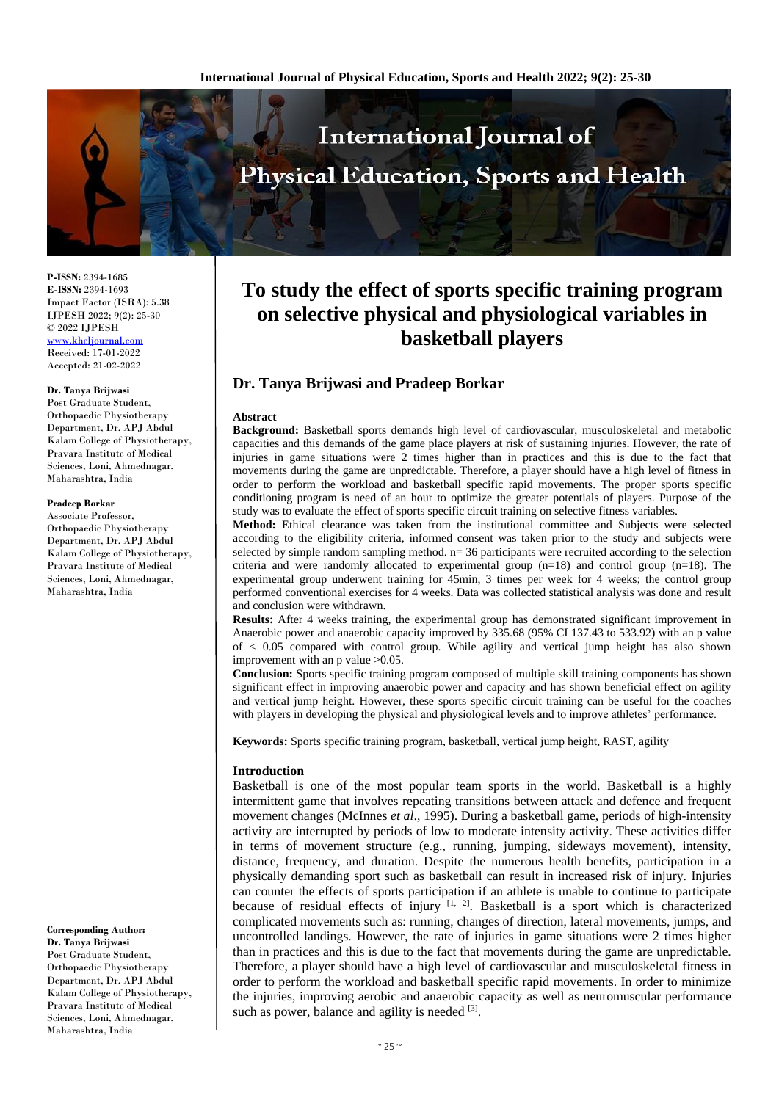

**P-ISSN:** 2394-1685 **E-ISSN:** 2394-1693 Impact Factor (ISRA): 5.38 IJPESH 2022; 9(2): 25-30 © 2022 IJPESH [www.kheljournal.com](http://www.kheljournal.com/) Received: 17-01-2022 Accepted: 21-02-2022

# **Dr. Tanya Brijwasi**

Post Graduate Student, Orthopaedic Physiotherapy Department, Dr. APJ Abdul Kalam College of Physiotherapy, Pravara Institute of Medical Sciences, Loni, Ahmednagar, Maharashtra, India

### **Pradeep Borkar**

Associate Professor, Orthopaedic Physiotherapy Department, Dr. APJ Abdul Kalam College of Physiotherapy, Pravara Institute of Medical Sciences, Loni, Ahmednagar, Maharashtra, India

**Corresponding Author: Dr. Tanya Brijwasi** Post Graduate Student, Orthopaedic Physiotherapy Department, Dr. APJ Abdul Kalam College of Physiotherapy, Pravara Institute of Medical Sciences, Loni, Ahmednagar, Maharashtra, India

# **To study the effect of sports specific training program on selective physical and physiological variables in basketball players**

# **Dr. Tanya Brijwasi and Pradeep Borkar**

# **Abstract**

**Background:** Basketball sports demands high level of cardiovascular, musculoskeletal and metabolic capacities and this demands of the game place players at risk of sustaining injuries. However, the rate of injuries in game situations were 2 times higher than in practices and this is due to the fact that movements during the game are unpredictable. Therefore, a player should have a high level of fitness in order to perform the workload and basketball specific rapid movements. The proper sports specific conditioning program is need of an hour to optimize the greater potentials of players. Purpose of the study was to evaluate the effect of sports specific circuit training on selective fitness variables.

**Method:** Ethical clearance was taken from the institutional committee and Subjects were selected according to the eligibility criteria, informed consent was taken prior to the study and subjects were selected by simple random sampling method.  $n= 36$  participants were recruited according to the selection criteria and were randomly allocated to experimental group  $(n=18)$  and control group  $(n=18)$ . The experimental group underwent training for 45min, 3 times per week for 4 weeks; the control group performed conventional exercises for 4 weeks. Data was collected statistical analysis was done and result and conclusion were withdrawn.

**Results:** After 4 weeks training, the experimental group has demonstrated significant improvement in Anaerobic power and anaerobic capacity improved by 335.68 (95% CI 137.43 to 533.92) with an p value of < 0.05 compared with control group. While agility and vertical jump height has also shown improvement with an p value >0.05.

**Conclusion:** Sports specific training program composed of multiple skill training components has shown significant effect in improving anaerobic power and capacity and has shown beneficial effect on agility and vertical jump height. However, these sports specific circuit training can be useful for the coaches with players in developing the physical and physiological levels and to improve athletes' performance.

**Keywords:** Sports specific training program, basketball, vertical jump height, RAST, agility

# **Introduction**

Basketball is one of the most popular team sports in the world. Basketball is a highly intermittent game that involves repeating transitions between attack and defence and frequent movement changes (McInnes *et al*., 1995). During a basketball game, periods of high-intensity activity are interrupted by periods of low to moderate intensity activity. These activities differ in terms of movement structure (e.g., running, jumping, sideways movement), intensity, distance, frequency, and duration. Despite the numerous health benefits, participation in a physically demanding sport such as basketball can result in increased risk of injury. Injuries can counter the effects of sports participation if an athlete is unable to continue to participate because of residual effects of injury  $[1, 2]$ . Basketball is a sport which is characterized complicated movements such as: running, changes of direction, lateral movements, jumps, and uncontrolled landings. However, the rate of injuries in game situations were 2 times higher than in practices and this is due to the fact that movements during the game are unpredictable. Therefore, a player should have a high level of cardiovascular and musculoskeletal fitness in order to perform the workload and basketball specific rapid movements. In order to minimize the injuries, improving aerobic and anaerobic capacity as well as neuromuscular performance such as power, balance and agility is needed [3].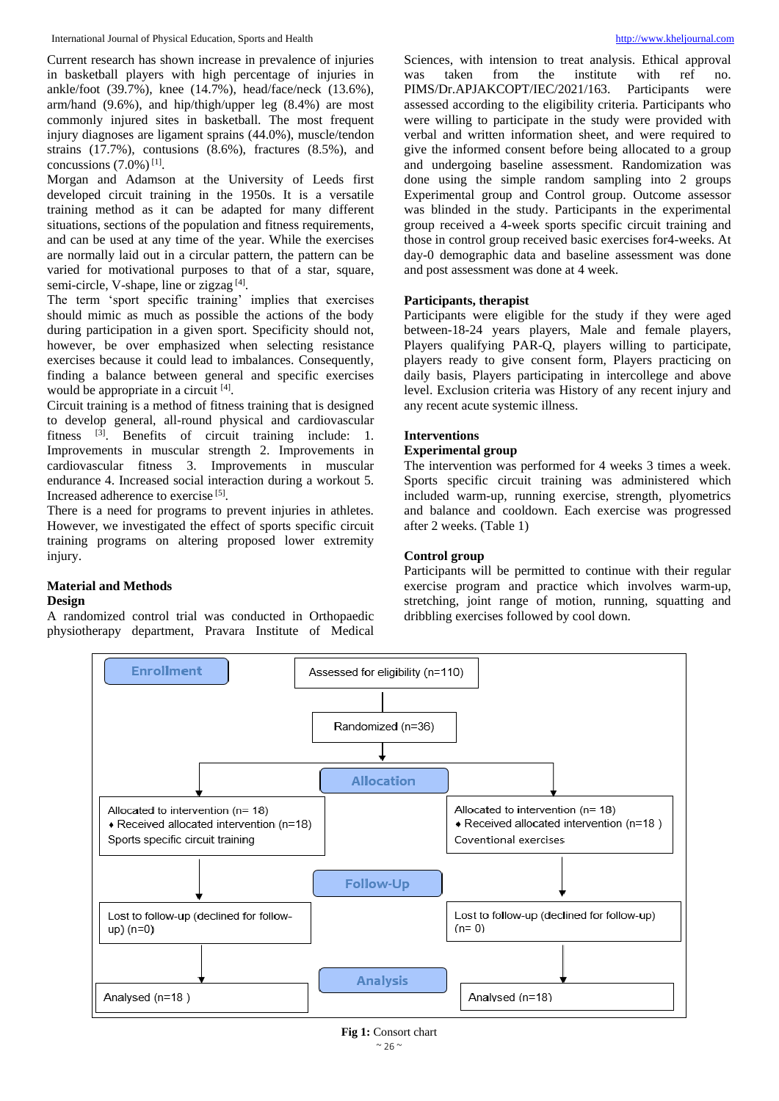Current research has shown increase in prevalence of injuries in basketball players with high percentage of injuries in ankle/foot (39.7%), knee (14.7%), head/face/neck (13.6%), arm/hand (9.6%), and hip/thigh/upper leg (8.4%) are most commonly injured sites in basketball. The most frequent injury diagnoses are ligament sprains (44.0%), muscle/tendon strains (17.7%), contusions (8.6%), fractures (8.5%), and concussions  $(7.0\%)$ <sup>[1]</sup>.

Morgan and Adamson at the University of Leeds first developed circuit training in the 1950s. It is a versatile training method as it can be adapted for many different situations, sections of the population and fitness requirements, and can be used at any time of the year. While the exercises are normally laid out in a circular pattern, the pattern can be varied for motivational purposes to that of a star, square, semi-circle, V-shape, line or zigzag<sup>[4]</sup>.

The term 'sport specific training' implies that exercises should mimic as much as possible the actions of the body during participation in a given sport. Specificity should not, however, be over emphasized when selecting resistance exercises because it could lead to imbalances. Consequently, finding a balance between general and specific exercises would be appropriate in a circuit [4].

Circuit training is a method of fitness training that is designed to develop general, all-round physical and cardiovascular fitness <sup>[3]</sup>. Benefits of circuit training include: 1. Improvements in muscular strength 2. Improvements in cardiovascular fitness 3. Improvements in muscular endurance 4. Increased social interaction during a workout 5. Increased adherence to exercise [5] .

There is a need for programs to prevent injuries in athletes. However, we investigated the effect of sports specific circuit training programs on altering proposed lower extremity injury.

# **Material and Methods Design**

A randomized control trial was conducted in Orthopaedic physiotherapy department, Pravara Institute of Medical

Sciences, with intension to treat analysis. Ethical approval was taken from the institute with ref no. PIMS/Dr.APJAKCOPT/IEC/2021/163. Participants were assessed according to the eligibility criteria. Participants who were willing to participate in the study were provided with verbal and written information sheet, and were required to give the informed consent before being allocated to a group and undergoing baseline assessment. Randomization was done using the simple random sampling into 2 groups Experimental group and Control group. Outcome assessor was blinded in the study. Participants in the experimental group received a 4-week sports specific circuit training and those in control group received basic exercises for4-weeks. At day-0 demographic data and baseline assessment was done and post assessment was done at 4 week.

# **Participants, therapist**

Participants were eligible for the study if they were aged between-18-24 years players, Male and female players, Players qualifying PAR-Q, players willing to participate, players ready to give consent form, Players practicing on daily basis, Players participating in intercollege and above level. Exclusion criteria was History of any recent injury and any recent acute systemic illness.

# **Interventions**

#### **Experimental group**

The intervention was performed for 4 weeks 3 times a week. Sports specific circuit training was administered which included warm-up, running exercise, strength, plyometrics and balance and cooldown. Each exercise was progressed after 2 weeks. (Table 1)

# **Control group**

Participants will be permitted to continue with their regular exercise program and practice which involves warm-up, stretching, joint range of motion, running, squatting and dribbling exercises followed by cool down.



 $~\sim$  26  $~\sim$ **Fig 1:** Consort chart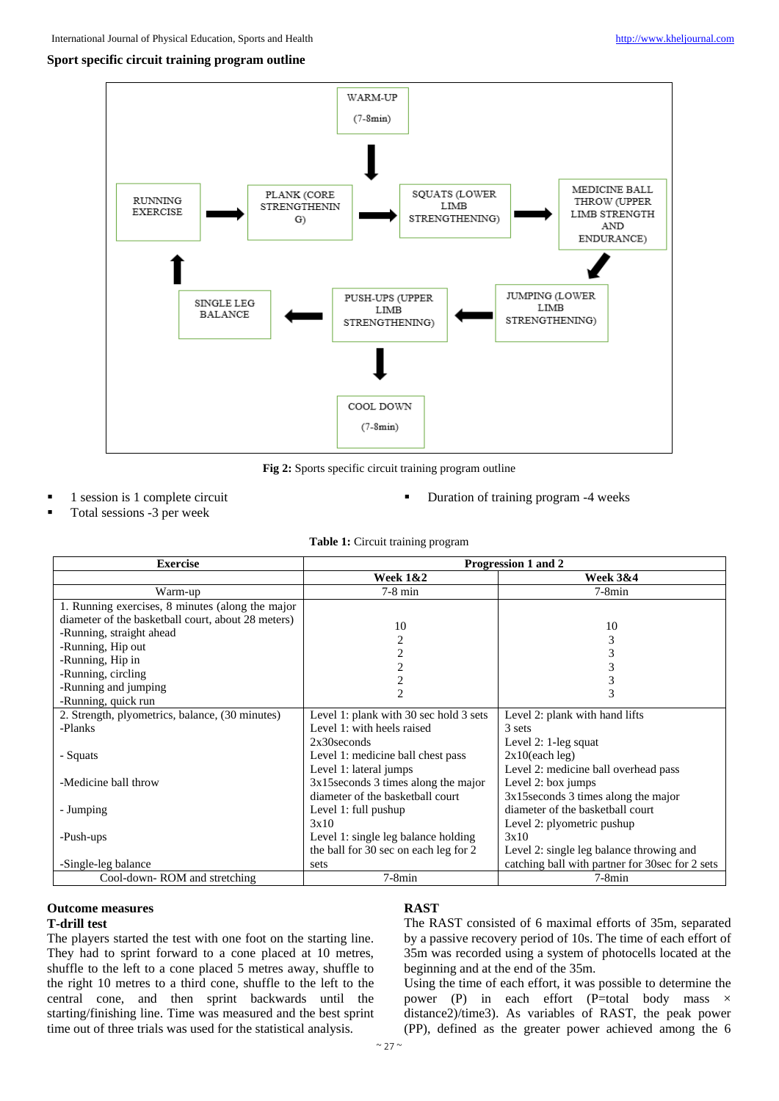# **Sport specific circuit training program outline**



**Fig 2:** Sports specific circuit training program outline

1 session is 1 complete circuit

Duration of training program -4 weeks

Total sessions -3 per week

| <b>Exercise</b>                                    | Progression 1 and 2                    |                                                 |  |
|----------------------------------------------------|----------------------------------------|-------------------------------------------------|--|
|                                                    | <b>Week 1&amp;2</b>                    | <b>Week 3&amp;4</b>                             |  |
| Warm-up                                            | $7-8$ min                              | $7-8min$                                        |  |
| 1. Running exercises, 8 minutes (along the major   |                                        |                                                 |  |
| diameter of the basketball court, about 28 meters) | 10                                     | 10                                              |  |
| -Running, straight ahead                           | 2                                      | 3                                               |  |
| -Running, Hip out                                  | 2                                      | 3                                               |  |
| -Running, Hip in                                   |                                        | 3                                               |  |
| -Running, circling                                 | 2                                      | 3                                               |  |
| -Running and jumping                               | $\overline{2}$                         | 3                                               |  |
| -Running, quick run                                |                                        |                                                 |  |
| 2. Strength, plyometrics, balance, (30 minutes)    | Level 1: plank with 30 sec hold 3 sets | Level 2: plank with hand lifts                  |  |
| -Planks                                            | Level 1: with heels raised             | 3 sets                                          |  |
|                                                    | $2x30$ seconds                         | Level 2: $1$ -leg squat                         |  |
| - Squats                                           | Level 1: medicine ball chest pass      | $2x10$ (each leg)                               |  |
|                                                    | Level 1: lateral jumps                 | Level 2: medicine ball overhead pass            |  |
| -Medicine ball throw                               | $3x15$ seconds 3 times along the major | Level 2: box jumps                              |  |
|                                                    | diameter of the basketball court       | $3x15$ seconds 3 times along the major          |  |
| - Jumping                                          | Level 1: full pushup                   | diameter of the basketball court                |  |
|                                                    | 3x10                                   | Level 2: plyometric pushup                      |  |
| -Push-ups                                          | Level 1: single leg balance holding    | 3x10                                            |  |
|                                                    | the ball for 30 sec on each leg for 2  | Level 2: single leg balance throwing and        |  |
| -Single-leg balance                                | sets                                   | catching ball with partner for 30sec for 2 sets |  |
| Cool-down-ROM and stretching                       | $7-8min$                               | $7-8min$                                        |  |

### **Outcome measures T-drill test**

The players started the test with one foot on the starting line. They had to sprint forward to a cone placed at 10 metres, shuffle to the left to a cone placed 5 metres away, shuffle to the right 10 metres to a third cone, shuffle to the left to the central cone, and then sprint backwards until the starting/finishing line. Time was measured and the best sprint time out of three trials was used for the statistical analysis.

# **RAST**

The RAST consisted of 6 maximal efforts of 35m, separated by a passive recovery period of 10s. The time of each effort of 35m was recorded using a system of photocells located at the beginning and at the end of the 35m.

Using the time of each effort, it was possible to determine the power (P) in each effort (P=total body mass × distance2)/time3). As variables of RAST, the peak power (PP), defined as the greater power achieved among the 6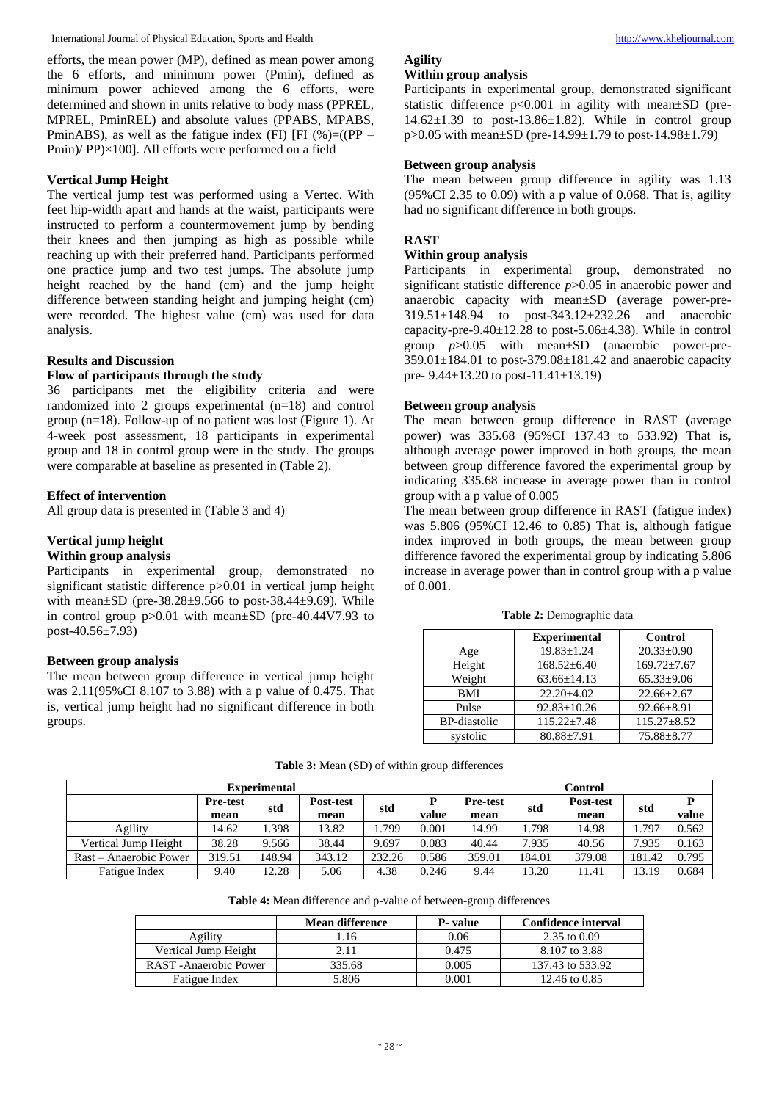efforts, the mean power (MP), defined as mean power among the 6 efforts, and minimum power (Pmin), defined as minimum power achieved among the 6 efforts, were determined and shown in units relative to body mass (PPREL, MPREL, PminREL) and absolute values (PPABS, MPABS, PminABS), as well as the fatigue index (FI) [FI (%)=((PP – Pmin)/ PP)×100]. All efforts were performed on a field

# **Vertical Jump Height**

The vertical jump test was performed using a Vertec. With feet hip-width apart and hands at the waist, participants were instructed to perform a countermovement jump by bending their knees and then jumping as high as possible while reaching up with their preferred hand. Participants performed one practice jump and two test jumps. The absolute jump height reached by the hand (cm) and the jump height difference between standing height and jumping height (cm) were recorded. The highest value (cm) was used for data analysis.

# **Results and Discussion**

# **Flow of participants through the study**

36 participants met the eligibility criteria and were randomized into 2 groups experimental (n=18) and control group (n=18). Follow-up of no patient was lost (Figure 1). At 4-week post assessment, 18 participants in experimental group and 18 in control group were in the study. The groups were comparable at baseline as presented in (Table 2).

# **Effect of intervention**

All group data is presented in (Table 3 and 4)

# **Vertical jump height**

# **Within group analysis**

Participants in experimental group, demonstrated no significant statistic difference p>0.01 in vertical jump height with mean $\pm$ SD (pre-38.28 $\pm$ 9.566 to post-38.44 $\pm$ 9.69). While in control group p>0.01 with mean±SD (pre-40.44V7.93 to post-40.56±7.93)

# **Between group analysis**

The mean between group difference in vertical jump height was 2.11(95%CI 8.107 to 3.88) with a p value of 0.475. That is, vertical jump height had no significant difference in both groups.

# **Agility Within group analysis**

Participants in experimental group, demonstrated significant statistic difference p<0.001 in agility with mean±SD (pre- $14.62\pm1.39$  to post-13.86 $\pm1.82$ ). While in control group p>0.05 with mean±SD (pre-14.99±1.79 to post-14.98±1.79)

# **Between group analysis**

The mean between group difference in agility was 1.13  $(95\% \text{CI } 2.35 \text{ to } 0.09)$  with a p value of 0.068. That is, agility had no significant difference in both groups.

# **RAST**

# **Within group analysis**

Participants in experimental group, demonstrated no significant statistic difference *p*>0.05 in anaerobic power and anaerobic capacity with mean±SD (average power-pre-319.51±148.94 to post-343.12±232.26 and anaerobic capacity-pre-9.40 $\pm$ 12.28 to post-5.06 $\pm$ 4.38). While in control group *p*>0.05 with mean±SD (anaerobic power-pre-359.01±184.01 to post-379.08±181.42 and anaerobic capacity pre- 9.44±13.20 to post-11.41±13.19)

# **Between group analysis**

The mean between group difference in RAST (average power) was 335.68 (95%CI 137.43 to 533.92) That is, although average power improved in both groups, the mean between group difference favored the experimental group by indicating 335.68 increase in average power than in control group with a p value of 0.005

The mean between group difference in RAST (fatigue index) was 5.806 (95%CI 12.46 to 0.85) That is, although fatigue index improved in both groups, the mean between group difference favored the experimental group by indicating 5.806 increase in average power than in control group with a p value of 0.001.

**Table 2:** Demographic data

|                     | <b>Experimental</b> | <b>Control</b>    |
|---------------------|---------------------|-------------------|
| Age                 | $19.83 \pm 1.24$    | $20.33 \pm 0.90$  |
| Height              | $168.52 \pm 6.40$   | $169.72 \pm 7.67$ |
| Weight              | $63.66 \pm 14.13$   | $65.33 \pm 9.06$  |
| <b>BMI</b>          | $22.20 \pm 4.02$    | $22.66 \pm 2.67$  |
| Pulse               | $92.83 \pm 10.26$   | $92.66 \pm 8.91$  |
| <b>BP-diastolic</b> | $115.22 \pm 7.48$   | $115.27 \pm 8.52$ |
| systolic            | $80.88 \pm 7.91$    | $75.88 + 8.77$    |

**Table 3:** Mean (SD) of within group differences

| <b>Experimental</b>    |                         |        | <b>Control</b>    |        |       |                         |        |                   |        |       |
|------------------------|-------------------------|--------|-------------------|--------|-------|-------------------------|--------|-------------------|--------|-------|
|                        | <b>Pre-test</b><br>mean | std    | Post-test<br>mean | std    | value | <b>Pre-test</b><br>mean | std    | Post-test<br>mean | std    | value |
| Agility                | 14.62                   | .398   | 13.82             | 1.799  | 0.001 | 14.99                   | 1.798  | 14.98             | 1.797  | 0.562 |
| Vertical Jump Height   | 38.28                   | 9.566  | 38.44             | 9.697  | 0.083 | 40.44                   | 7.935  | 40.56             | 7.935  | 0.163 |
| Rast – Anaerobic Power | 319.51                  | 148.94 | 343.12            | 232.26 | 0.586 | 359.01                  | 184.01 | 379.08            | 181.42 | 0.795 |
| Fatigue Index          | 9.40                    | 12.28  | 5.06              | 4.38   | 0.246 | 9.44                    | 13.20  | 11.41             | 13.19  | 0.684 |

**Table 4:** Mean difference and p-value of between-group differences

|                      | <b>Mean difference</b> | P- value | Confidence interval |
|----------------------|------------------------|----------|---------------------|
| Agility              | 1.16                   | 0.06     | 2.35 to $0.09$      |
| Vertical Jump Height | 2.11                   | 0.475    | 8.107 to 3.88       |
| RAST-Anaerobic Power | 335.68                 | 0.005    | 137.43 to 533.92    |
| Fatigue Index        | 5.806                  | 0.001    | 12.46 to 0.85       |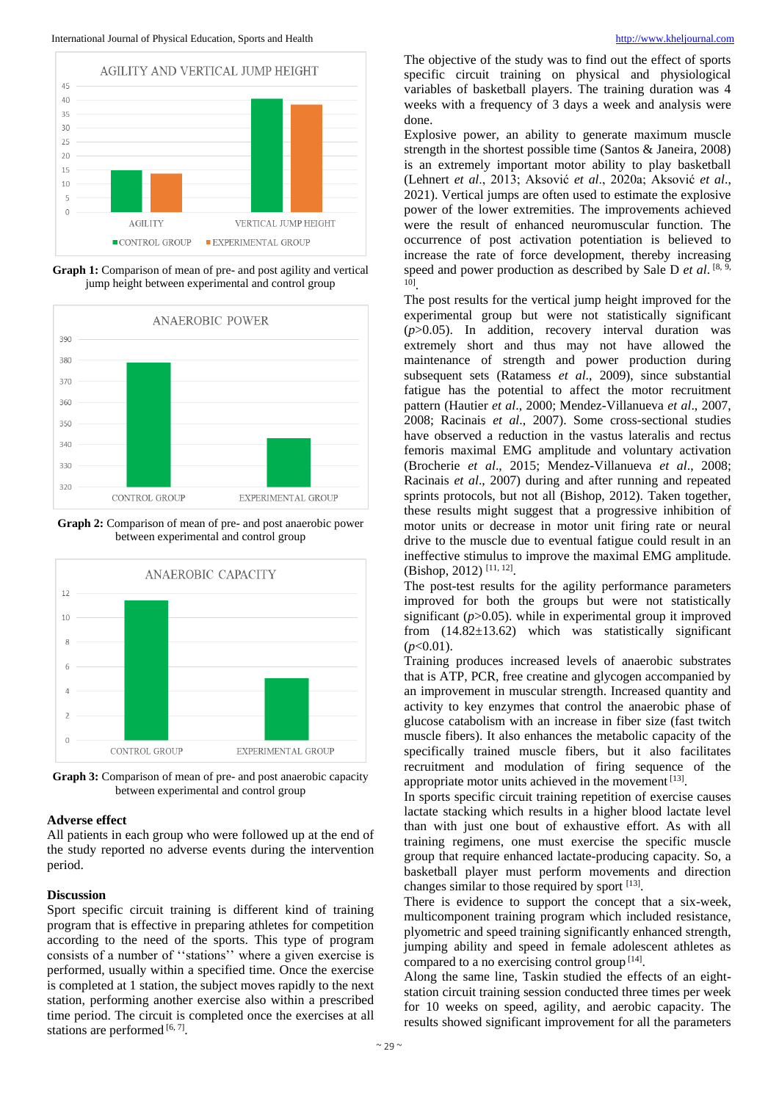

**Graph 1:** Comparison of mean of pre- and post agility and vertical jump height between experimental and control group



**Graph 2:** Comparison of mean of pre- and post anaerobic power between experimental and control group



**Graph 3:** Comparison of mean of pre- and post anaerobic capacity between experimental and control group

#### **Adverse effect**

All patients in each group who were followed up at the end of the study reported no adverse events during the intervention period.

### **Discussion**

Sport specific circuit training is different kind of training program that is effective in preparing athletes for competition according to the need of the sports. This type of program consists of a number of ''stations'' where a given exercise is performed, usually within a specified time. Once the exercise is completed at 1 station, the subject moves rapidly to the next station, performing another exercise also within a prescribed time period. The circuit is completed once the exercises at all stations are performed  $[6, 7]$ .

The objective of the study was to find out the effect of sports specific circuit training on physical and physiological variables of basketball players. The training duration was 4 weeks with a frequency of 3 days a week and analysis were done.

Explosive power, an ability to generate maximum muscle strength in the shortest possible time (Santos & Janeira, 2008) is an extremely important motor ability to play basketball (Lehnert *et al*., 2013; Aksović *et al*., 2020a; Aksović *et al*., 2021). Vertical jumps are often used to estimate the explosive power of the lower extremities. The improvements achieved were the result of enhanced neuromuscular function. The occurrence of post activation potentiation is believed to increase the rate of force development, thereby increasing speed and power production as described by Sale D et al. [8, 9] 10] .

The post results for the vertical jump height improved for the experimental group but were not statistically significant (*p*>0.05). In addition, recovery interval duration was extremely short and thus may not have allowed the maintenance of strength and power production during subsequent sets (Ratamess *et al*., 2009), since substantial fatigue has the potential to affect the motor recruitment pattern (Hautier *et al*., 2000; Mendez-Villanueva *et al*., 2007, 2008; Racinais *et al*., 2007). Some cross-sectional studies have observed a reduction in the vastus lateralis and rectus femoris maximal EMG amplitude and voluntary activation (Brocherie *et al*., 2015; Mendez-Villanueva *et al*., 2008; Racinais *et al*., 2007) during and after running and repeated sprints protocols, but not all (Bishop, 2012). Taken together, these results might suggest that a progressive inhibition of motor units or decrease in motor unit firing rate or neural drive to the muscle due to eventual fatigue could result in an ineffective stimulus to improve the maximal EMG amplitude. (Bishop, 2012)<sup>[11, 12]</sup>.

The post-test results for the agility performance parameters improved for both the groups but were not statistically significant  $(p>0.05)$ . while in experimental group it improved from (14.82±13.62) which was statistically significant  $(p<0.01)$ .

Training produces increased levels of anaerobic substrates that is ATP, PCR, free creatine and glycogen accompanied by an improvement in muscular strength. Increased quantity and activity to key enzymes that control the anaerobic phase of glucose catabolism with an increase in fiber size (fast twitch muscle fibers). It also enhances the metabolic capacity of the specifically trained muscle fibers, but it also facilitates recruitment and modulation of firing sequence of the appropriate motor units achieved in the movement [13].

In sports specific circuit training repetition of exercise causes lactate stacking which results in a higher blood lactate level than with just one bout of exhaustive effort. As with all training regimens, one must exercise the specific muscle group that require enhanced lactate-producing capacity. So, a basketball player must perform movements and direction changes similar to those required by sport [13].

There is evidence to support the concept that a six-week, multicomponent training program which included resistance, plyometric and speed training significantly enhanced strength, jumping ability and speed in female adolescent athletes as compared to a no exercising control group<sup>[14]</sup>.

Along the same line, Taskin studied the effects of an eightstation circuit training session conducted three times per week for 10 weeks on speed, agility, and aerobic capacity. The results showed significant improvement for all the parameters